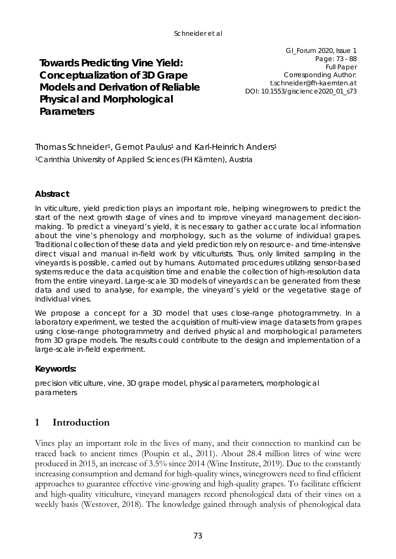# **Towards Predicting Vine Yield: Conceptualization of 3D Grape Models and Derivation of Reliable Physical and Morphological Parameters**

GI\_Forum 2020, Issue 1 Page: 73 - 88 Full Paper Corresponding Author: t.schneider@fh-kaernten.at DOI: 10.1553/giscience2020\_01\_s73

Thomas Schneider<sup>1</sup>, Gernot Paulus<sup>1</sup> and Karl-Heinrich Anders<sup>1</sup> <sup>1</sup>Carinthia University of Applied Sciences (FH Kärnten), Austria

### **Abstract**

In viticulture, yield prediction plays an important role, helping winegrowers to predict the start of the next growth stage of vines and to improve vineyard management decisionmaking. To predict a vineyard's yield, it is necessary to gather accurate local information about the vine's phenology and morphology, such as the volume of individual grapes. Traditional collection of these data and yield prediction rely on resource- and time-intensive direct visual and manual in-field work by viticulturists. Thus, only limited sampling in the vineyards is possible, carried out by humans. Automated procedures utilizing sensor-based systems reduce the data acquisition time and enable the collection of high-resolution data from the entire vineyard. Large-scale 3D models of vineyards can be generated from these data and used to analyse, for example, the vineyard's yield or the vegetative stage of individual vines.

We propose a concept for a 3D model that uses close-range photogrammetry. In a laboratory experiment, we tested the acquisition of multi-view image datasets from grapes using close-range photogrammetry and derived physical and morphological parameters from 3D grape models. The results could contribute to the design and implementation of a large-scale in-field experiment.

### **Keywords:**

precision viticulture, vine, 3D grape model, physical parameters, morphological parameters

# **1 Introduction**

Vines play an important role in the lives of many, and their connection to mankind can be traced back to ancient times (Poupin et al., 2011). About 28.4 million litres of wine were produced in 2015, an increase of 3.5% since 2014 (Wine Institute, 2019). Due to the constantly increasing consumption and demand for high-quality wines, winegrowers need to find efficient approaches to guarantee effective vine-growing and high-quality grapes. To facilitate efficient and high-quality viticulture, vineyard managers record phenological data of their vines on a weekly basis (Westover, 2018). The knowledge gained through analysis of phenological data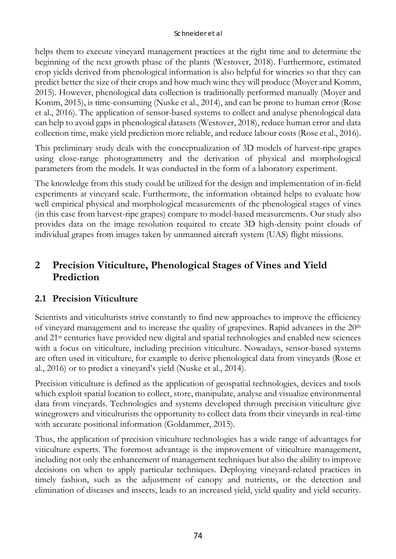helps them to execute vineyard management practices at the right time and to determine the beginning of the next growth phase of the plants (Westover, 2018). Furthermore, estimated crop yields derived from phenological information is also helpful for wineries so that they can predict better the size of their crops and how much wine they will produce (Moyer and Komm, 2015). However, phenological data collection is traditionally performed manually (Moyer and Komm, 2015), is time-consuming (Nuske et al., 2014), and can be prone to human error (Rose et al., 2016). The application of sensor-based systems to collect and analyse phenological data can help to avoid gaps in phenological datasets (Westover, 2018), reduce human error and data collection time, make yield prediction more reliable, and reduce labour costs (Rose et al., 2016).

This preliminary study deals with the conceptualization of 3D models of harvest-ripe grapes using close-range photogrammetry and the derivation of physical and morphological parameters from the models. It was conducted in the form of a laboratory experiment.

The knowledge from this study could be utilized for the design and implementation of in-field experiments at vineyard scale. Furthermore, the information obtained helps to evaluate how well empirical physical and morphological measurements of the phenological stages of vines (in this case from harvest-ripe grapes) compare to model-based measurements. Our study also provides data on the image resolution required to create 3D high-density point clouds of individual grapes from images taken by unmanned aircraft system (UAS) flight missions.

# **2 Precision Viticulture, Phenological Stages of Vines and Yield Prediction**

# **2.1 Precision Viticulture**

Scientists and viticulturists strive constantly to find new approaches to improve the efficiency of vineyard management and to increase the quality of grapevines. Rapid advances in the 20th and 21st centuries have provided new digital and spatial technologies and enabled new sciences with a focus on viticulture, including precision viticulture. Nowadays, sensor-based systems are often used in viticulture, for example to derive phenological data from vineyards (Rose et al., 2016) or to predict a vineyard's yield (Nuske et al., 2014).

Precision viticulture is defined as the application of geospatial technologies, devices and tools which exploit spatial location to collect, store, manipulate, analyse and visualize environmental data from vineyards. Technologies and systems developed through precision viticulture give winegrowers and viticulturists the opportunity to collect data from their vineyards in real-time with accurate positional information (Goldammer, 2015).

Thus, the application of precision viticulture technologies has a wide range of advantages for viticulture experts. The foremost advantage is the improvement of viticulture management, including not only the enhancement of management techniques but also the ability to improve decisions on when to apply particular techniques. Deploying vineyard-related practices in timely fashion, such as the adjustment of canopy and nutrients, or the detection and elimination of diseases and insects, leads to an increased yield, yield quality and yield security.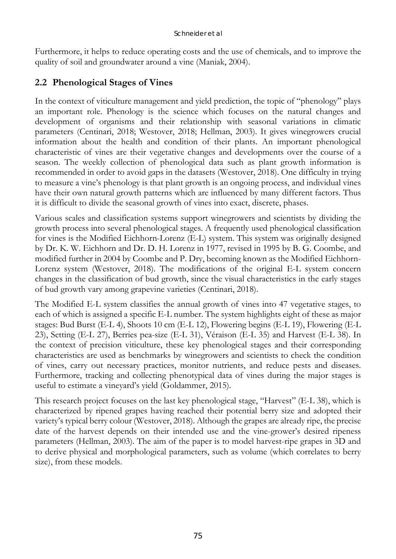Furthermore, it helps to reduce operating costs and the use of chemicals, and to improve the quality of soil and groundwater around a vine (Maniak, 2004).

# **2.2 Phenological Stages of Vines**

In the context of viticulture management and yield prediction, the topic of "phenology" plays an important role. Phenology is the science which focuses on the natural changes and development of organisms and their relationship with seasonal variations in climatic parameters (Centinari, 2018; Westover, 2018; Hellman, 2003). It gives winegrowers crucial information about the health and condition of their plants. An important phenological characteristic of vines are their vegetative changes and developments over the course of a season. The weekly collection of phenological data such as plant growth information is recommended in order to avoid gaps in the datasets (Westover, 2018). One difficulty in trying to measure a vine's phenology is that plant growth is an ongoing process, and individual vines have their own natural growth patterns which are influenced by many different factors. Thus it is difficult to divide the seasonal growth of vines into exact, discrete, phases.

Various scales and classification systems support winegrowers and scientists by dividing the growth process into several phenological stages. A frequently used phenological classification for vines is the Modified Eichhorn-Lorenz (E-L) system. This system was originally designed by Dr. K. W. Eichhorn and Dr. D. H. Lorenz in 1977, revised in 1995 by B. G. Coombe, and modified further in 2004 by Coombe and P. Dry, becoming known as the Modified Eichhorn-Lorenz system (Westover, 2018). The modifications of the original E-L system concern changes in the classification of bud growth, since the visual characteristics in the early stages of bud growth vary among grapevine varieties (Centinari, 2018).

The Modified E-L system classifies the annual growth of vines into 47 vegetative stages, to each of which is assigned a specific E-L number. The system highlights eight of these as major stages: Bud Burst (E-L 4), Shoots 10 cm (E-L 12), Flowering begins (E-L 19), Flowering (E-L 23), Setting (E-L 27), Berries pea-size (E-L 31), Véraison (E-L 35) and Harvest (E-L 38). In the context of precision viticulture, these key phenological stages and their corresponding characteristics are used as benchmarks by winegrowers and scientists to check the condition of vines, carry out necessary practices, monitor nutrients, and reduce pests and diseases. Furthermore, tracking and collecting phenotypical data of vines during the major stages is useful to estimate a vineyard's yield (Goldammer, 2015).

This research project focuses on the last key phenological stage, "Harvest" (E-L 38), which is characterized by ripened grapes having reached their potential berry size and adopted their variety's typical berry colour (Westover, 2018). Although the grapes are already ripe, the precise date of the harvest depends on their intended use and the vine-grower's desired ripeness parameters (Hellman, 2003). The aim of the paper is to model harvest-ripe grapes in 3D and to derive physical and morphological parameters, such as volume (which correlates to berry size), from these models.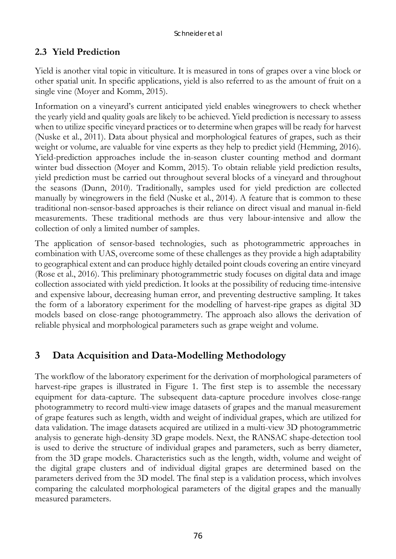## **2.3 Yield Prediction**

Yield is another vital topic in viticulture. It is measured in tons of grapes over a vine block or other spatial unit. In specific applications, yield is also referred to as the amount of fruit on a single vine (Moyer and Komm, 2015).

Information on a vineyard's current anticipated yield enables winegrowers to check whether the yearly yield and quality goals are likely to be achieved. Yield prediction is necessary to assess when to utilize specific vineyard practices or to determine when grapes will be ready for harvest (Nuske et al., 2011). Data about physical and morphological features of grapes, such as their weight or volume, are valuable for vine experts as they help to predict yield (Hemming, 2016). Yield-prediction approaches include the in-season cluster counting method and dormant winter bud dissection (Moyer and Komm, 2015). To obtain reliable yield prediction results, yield prediction must be carried out throughout several blocks of a vineyard and throughout the seasons (Dunn, 2010). Traditionally, samples used for yield prediction are collected manually by winegrowers in the field (Nuske et al., 2014). A feature that is common to these traditional non-sensor-based approaches is their reliance on direct visual and manual in-field measurements. These traditional methods are thus very labour-intensive and allow the collection of only a limited number of samples.

The application of sensor-based technologies, such as photogrammetric approaches in combination with UAS, overcome some of these challenges as they provide a high adaptability to geographical extent and can produce highly detailed point clouds covering an entire vineyard (Rose et al., 2016). This preliminary photogrammetric study focuses on digital data and image collection associated with yield prediction. It looks at the possibility of reducing time-intensive and expensive labour, decreasing human error, and preventing destructive sampling. It takes the form of a laboratory experiment for the modelling of harvest-ripe grapes as digital 3D models based on close-range photogrammetry. The approach also allows the derivation of reliable physical and morphological parameters such as grape weight and volume.

# **3 Data Acquisition and Data-Modelling Methodology**

The workflow of the laboratory experiment for the derivation of morphological parameters of harvest-ripe grapes is illustrated in [Figure 1.](#page-4-0) The first step is to assemble the necessary equipment for data-capture. The subsequent data-capture procedure involves close-range photogrammetry to record multi-view image datasets of grapes and the manual measurement of grape features such as length, width and weight of individual grapes, which are utilized for data validation. The image datasets acquired are utilized in a multi-view 3D photogrammetric analysis to generate high-density 3D grape models. Next, the RANSAC shape-detection tool is used to derive the structure of individual grapes and parameters, such as berry diameter, from the 3D grape models. Characteristics such as the length, width, volume and weight of the digital grape clusters and of individual digital grapes are determined based on the parameters derived from the 3D model. The final step is a validation process, which involves comparing the calculated morphological parameters of the digital grapes and the manually measured parameters.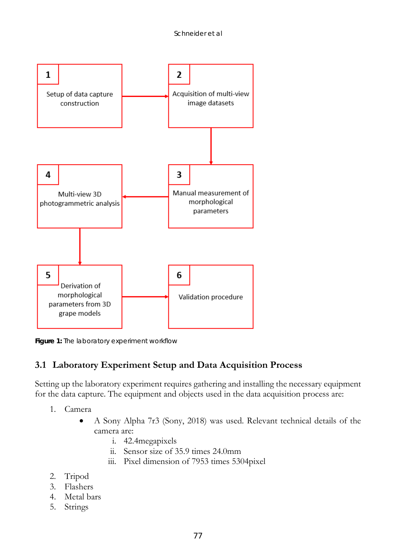

<span id="page-4-0"></span>**Figure 1:** The laboratory experiment workflow

# **3.1 Laboratory Experiment Setup and Data Acquisition Process**

Setting up the laboratory experiment requires gathering and installing the necessary equipment for the data capture. The equipment and objects used in the data acquisition process are:

- 1. Camera
	- A Sony Alpha 7r3 (Sony, 2018) was used. Relevant technical details of the camera are:
		- i. 42.4megapixels
		- ii. Sensor size of 35.9 times 24.0mm
		- iii. Pixel dimension of 7953 times 5304pixel
- 2. Tripod
- 3. Flashers
- 4. Metal bars
- 5. Strings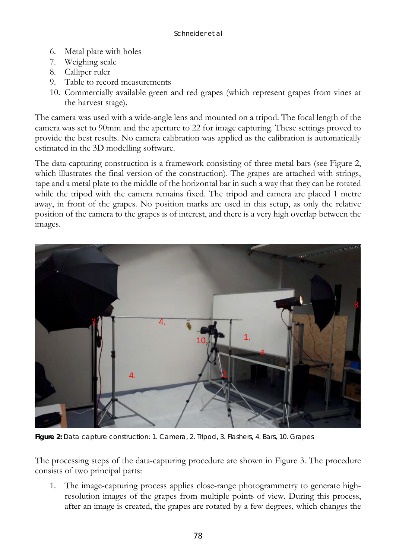- 6. Metal plate with holes
- 7. Weighing scale
- 8. Calliper ruler
- 9. Table to record measurements
- 10. Commercially available green and red grapes (which represent grapes from vines at the harvest stage).

The camera was used with a wide-angle lens and mounted on a tripod. The focal length of the camera was set to 90mm and the aperture to 22 for image capturing. These settings proved to provide the best results. No camera calibration was applied as the calibration is automatically estimated in the 3D modelling software.

The data-capturing construction is a framework consisting of three metal bars (see [Figure 2,](#page-5-0) which illustrates the final version of the construction). The grapes are attached with strings, tape and a metal plate to the middle of the horizontal bar in such a way that they can be rotated while the tripod with the camera remains fixed. The tripod and camera are placed 1 metre away, in front of the grapes. No position marks are used in this setup, as only the relative position of the camera to the grapes is of interest, and there is a very high overlap between the images.



**Figure 2:** Data capture construction: 1. Camera, 2. Tripod, 3. Flashers, 4. Bars, 10. Grapes

<span id="page-5-0"></span>The processing steps of the data-capturing procedure are shown in [Figure 3.](#page-6-0) The procedure consists of two principal parts:

1. The image-capturing process applies close-range photogrammetry to generate highresolution images of the grapes from multiple points of view. During this process, after an image is created, the grapes are rotated by a few degrees, which changes the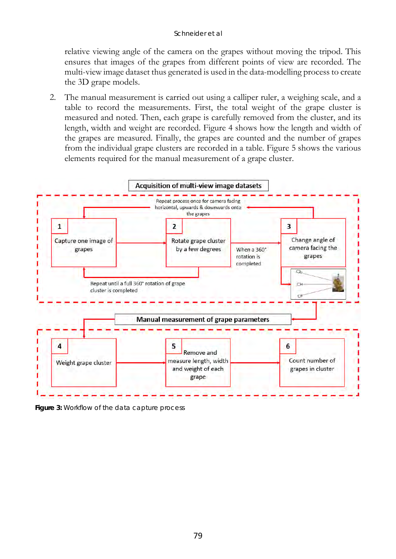relative viewing angle of the camera on the grapes without moving the tripod. This ensures that images of the grapes from different points of view are recorded. The multi-view image dataset thus generated is used in the data-modelling process to create the 3D grape models.

2. The manual measurement is carried out using a calliper ruler, a weighing scale, and a table to record the measurements. First, the total weight of the grape cluster is measured and noted. Then, each grape is carefully removed from the cluster, and its length, width and weight are recorded. [Figure 4](#page-7-0) shows how the length and width of the grapes are measured. Finally, the grapes are counted and the number of grapes from the individual grape clusters are recorded in a table. [Figure 5](#page-7-1) shows the various elements required for the manual measurement of a grape cluster.



<span id="page-6-0"></span>*Figure 3:* Workflow of the data capture process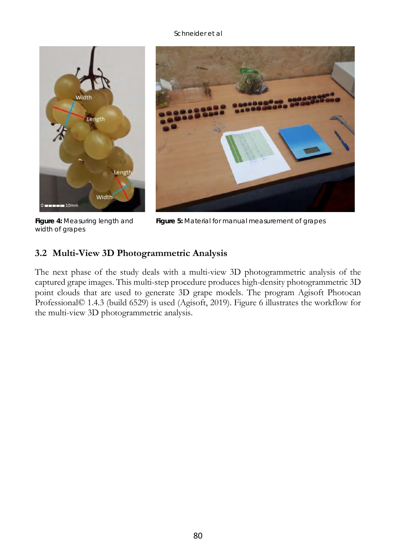

**Figure 4:** Measuring length and width of grapes



**Figure 5:** Material for manual measurement of grapes

## <span id="page-7-1"></span><span id="page-7-0"></span>**3.2 Multi-View 3D Photogrammetric Analysis**

The next phase of the study deals with a multi-view 3D photogrammetric analysis of the captured grape images. This multi-step procedure produces high-density photogrammetric 3D point clouds that are used to generate 3D grape models. The program Agisoft Photocan Professional© 1.4.3 (build 6529) is used (Agisoft, 2019). [Figure 6](#page-8-0) illustrates the workflow for the multi-view 3D photogrammetric analysis.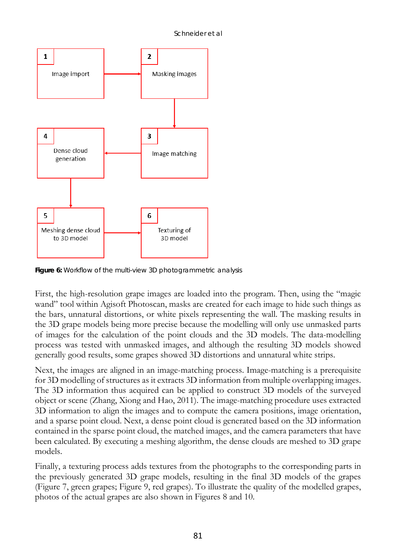

<span id="page-8-0"></span>**Figure 6:** Workflow of the multi-view 3D photogrammetric analysis

First, the high-resolution grape images are loaded into the program. Then, using the "magic wand" tool within Agisoft Photoscan, masks are created for each image to hide such things as the bars, unnatural distortions, or white pixels representing the wall. The masking results in the 3D grape models being more precise because the modelling will only use unmasked parts of images for the calculation of the point clouds and the 3D models. The data-modelling process was tested with unmasked images, and although the resulting 3D models showed generally good results, some grapes showed 3D distortions and unnatural white strips.

Next, the images are aligned in an image-matching process. Image-matching is a prerequisite for 3D modelling of structures as it extracts 3D information from multiple overlapping images. The 3D information thus acquired can be applied to construct 3D models of the surveyed object or scene (Zhang, Xiong and Hao, 2011). The image-matching procedure uses extracted 3D information to align the images and to compute the camera positions, image orientation, and a sparse point cloud. Next, a dense point cloud is generated based on the 3D information contained in the sparse point cloud, the matched images, and the camera parameters that have been calculated. By executing a meshing algorithm, the dense clouds are meshed to 3D grape models.

Finally, a texturing process adds textures from the photographs to the corresponding parts in the previously generated 3D grape models, resulting in the final 3D models of the grapes [\(Figure 7,](#page-9-0) green grapes; [Figure 9,](#page-9-1) red grapes). To illustrate the quality of the modelled grapes, photos of the actual grapes are also shown in [Figures 8](#page-9-2) and [10.](#page-9-3)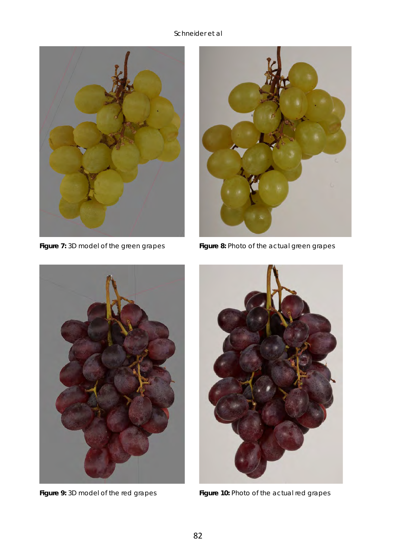



**Figure 7:** 3D model of the green grapes **Figure 8:** Photo of the actual green grapes

<span id="page-9-1"></span>

<span id="page-9-3"></span><span id="page-9-2"></span><span id="page-9-0"></span>

**Figure 9:** 3D model of the red grapes **Figure 10:** Photo of the actual red grapes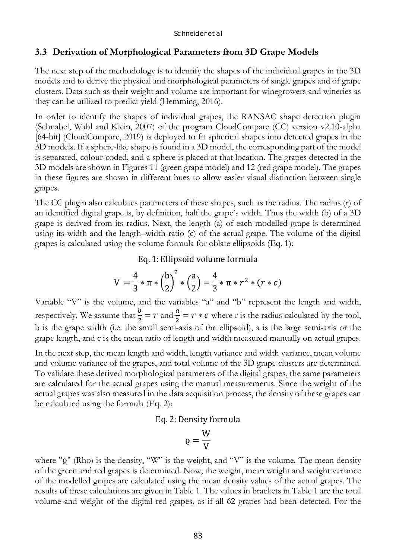### **3.3 Derivation of Morphological Parameters from 3D Grape Models**

The next step of the methodology is to identify the shapes of the individual grapes in the 3D models and to derive the physical and morphological parameters of single grapes and of grape clusters. Data such as their weight and volume are important for winegrowers and wineries as they can be utilized to predict yield (Hemming, 2016).

In order to identify the shapes of individual grapes, the RANSAC shape detection plugin (Schnabel, Wahl and Klein, 2007) of the program CloudCompare (CC) version v2.10-alpha [64-bit] (CloudCompare, 2019) is deployed to fit spherical shapes into detected grapes in the 3D models. If a sphere-like shape is found in a 3D model, the corresponding part of the model is separated, colour-coded, and a sphere is placed at that location. The grapes detected in the 3D models are shown in Figures [11](#page-11-0) (green grape model) and [12](#page-11-1) (red grape model). The grapes in these figures are shown in different hues to allow easier visual distinction between single grapes.

The CC plugin also calculates parameters of these shapes, such as the radius. The radius (r) of an identified digital grape is, by definition, half the grape's width. Thus the width (b) of a 3D grape is derived from its radius. Next, the length (a) of each modelled grape is determined using its width and the length–width ratio (c) of the actual grape. The volume of the digital grapes is calculated using the volume formula for oblate ellipsoids (Eq. 1):

### Eq. 1: Ellipsoid volume formula

$$
V = \frac{4}{3} * \pi * \left(\frac{b}{2}\right)^2 * \left(\frac{a}{2}\right) = \frac{4}{3} * \pi * r^2 * (r * c)
$$

Variable "V" is the volume, and the variables "a" and "b" represent the length and width, respectively. We assume that  $\frac{b}{2} = r$  and  $\frac{a}{2} = r * c$  where r is the radius calculated by the tool, b is the grape width (i.e. the small semi-axis of the ellipsoid), a is the large semi-axis or the grape length, and c is the mean ratio of length and width measured manually on actual grapes.

In the next step, the mean length and width, length variance and width variance, mean volume and volume variance of the grapes, and total volume of the 3D grape clusters are determined. To validate these derived morphological parameters of the digital grapes, the same parameters are calculated for the actual grapes using the manual measurements. Since the weight of the actual grapes was also measured in the data acquisition process, the density of these grapes can be calculated using the formula (Eq. 2):

#### Eq. 2:Density formula

$$
\varrho=\frac{W}{V}
$$

where " $Q''$  (Rho) is the density, "W" is the weight, and "V" is the volume. The mean density of the green and red grapes is determined. Now, the weight, mean weight and weight variance of the modelled grapes are calculated using the mean density values of the actual grapes. The results of these calculations are given i[n Table 1.](#page-11-2) The values in brackets in [Table 1](#page-11-2) are the total volume and weight of the digital red grapes, as if all 62 grapes had been detected. For the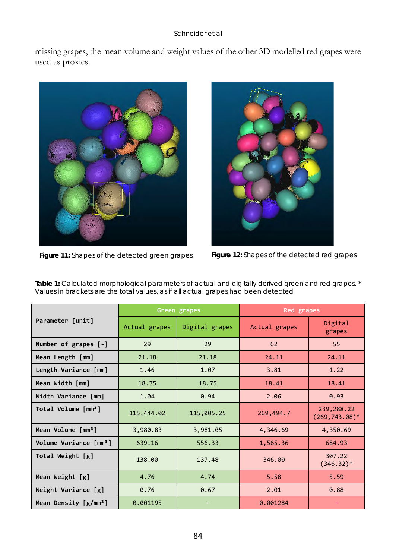missing grapes, the mean volume and weight values of the other 3D modelled red grapes were used as proxies.



**Figure 11:** Shapes of the detected green grapes **Figure 12:** Shapes of the detected red grapes

<span id="page-11-1"></span>

| Parameter [unit]                   | Green grapes  |                | Red grapes    |                                 |
|------------------------------------|---------------|----------------|---------------|---------------------------------|
|                                    | Actual grapes | Digital grapes | Actual grapes | Digital<br>grapes               |
| Number of grapes [-]               | 29            | 29             | 62            | 55                              |
| Mean Length [mm]                   | 21.18         | 21.18          | 24.11         | 24.11                           |
| Length Variance [mm]               | 1.46          | 1.07           | 3.81          | 1.22                            |
| Mean Width [mm]                    | 18.75         | 18.75          | 18.41         | 18.41                           |
| Width Variance [mm]                | 1.04          | 0.94           | 2.06          | 0.93                            |
| Total Volume [mm <sup>3</sup> ]    | 115,444.02    | 115,005.25     | 269,494.7     | 239,288.22<br>$(269, 743.08)^*$ |
| Mean Volume [mm <sup>3</sup> ]     | 3,980.83      | 3,981.05       | 4,346.69      | 4,350.69                        |
| Volume Variance [mm <sup>3</sup> ] | 639.16        | 556.33         | 1,565.36      | 684.93                          |
| Total Weight [g]                   | 138.00        | 137.48         | 346.00        | 307.22<br>$(346.32)^*$          |
| Mean Weight [g]                    | 4.76          | 4.74           | 5.58          | 5.59                            |
| Weight Variance [g]                | 0.76          | 0.67           | 2.01          | 0.88                            |
| Mean Density $[g/mm^3]$            | 0.001195      |                | 0.001284      |                                 |

<span id="page-11-2"></span><span id="page-11-0"></span>**Table 1:** Calculated morphological parameters of actual and digitally derived green and red grapes. \* Values in brackets are the total values, as if all actual grapes had been detected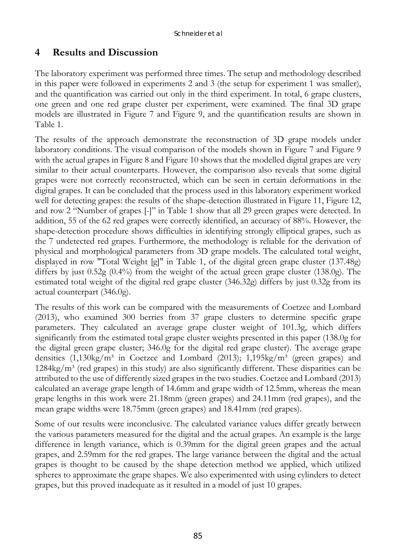# **4 Results and Discussion**

The laboratory experiment was performed three times. The setup and methodology described in this paper were followed in experiments 2 and 3 (the setup for experiment 1 was smaller), and the quantification was carried out only in the third experiment. In total, 6 grape clusters, one green and one red grape cluster per experiment, were examined. The final 3D grape models are illustrated in [Figure 7](#page-9-0) and [Figure 9,](#page-9-1) and the quantification results are shown in [Table 1.](#page-11-2) 

The results of the approach demonstrate the reconstruction of 3D grape models under laboratory conditions. The visual comparison of the models shown in [Figure 7](#page-9-0) and [Figure 9](#page-9-1) with the actual grapes i[n Figure 8](#page-9-2) an[d Figure 10](#page-9-3) shows that the modelled digital grapes are very similar to their actual counterparts. However, the comparison also reveals that some digital grapes were not correctly reconstructed, which can be seen in certain deformations in the digital grapes. It can be concluded that the process used in this laboratory experiment worked well for detecting grapes: the results of the shape-detection illustrated in [Figure 11,](#page-11-0) [Figure 12,](#page-11-1) and row 2 "Number of grapes [-]" in [Table 1](#page-11-2) show that all 29 green grapes were detected. In addition, 55 of the 62 red grapes were correctly identified, an accuracy of 88%. However, the shape-detection procedure shows difficulties in identifying strongly elliptical grapes, such as the 7 undetected red grapes. Furthermore, the methodology is reliable for the derivation of physical and morphological parameters from 3D grape models. The calculated total weight, displayed in row "Total Weight [g]" in [Table 1,](#page-11-2) of the digital green grape cluster (137.48g) differs by just  $0.52g(0.4\%)$  from the weight of the actual green grape cluster (138.0g). The estimated total weight of the digital red grape cluster (346.32g) differs by just 0.32g from its actual counterpart (346.0g).

The results of this work can be compared with the measurements of Coetzee and Lombard (2013), who examined 300 berries from 37 grape clusters to determine specific grape parameters. They calculated an average grape cluster weight of 101.3g, which differs significantly from the estimated total grape cluster weights presented in this paper (138.0g for the digital green grape cluster; 346.0g for the digital red grape cluster). The average grape densities  $(1,130\text{kg/m}^3$  in Coetzee and Lombard  $(2013)$ ;  $1,195\text{kg/m}^3$  (green grapes) and  $1284\text{kg/m}^3$  (red grapes) in this study) are also significantly different. These disparities can be attributed to the use of differently sized grapes in the two studies. Coetzee and Lombard (2013) calculated an average grape length of 14.6mm and grape width of 12.5mm, whereas the mean grape lengths in this work were 21.18mm (green grapes) and 24.11mm (red grapes), and the mean grape widths were 18.75mm (green grapes) and 18.41mm (red grapes).

Some of our results were inconclusive. The calculated variance values differ greatly between the various parameters measured for the digital and the actual grapes. An example is the large difference in length variance, which is 0.39mm for the digital green grapes and the actual grapes, and 2.59mm for the red grapes. The large variance between the digital and the actual grapes is thought to be caused by the shape detection method we applied, which utilized spheres to approximate the grape shapes. We also experimented with using cylinders to detect grapes, but this proved inadequate as it resulted in a model of just 10 grapes.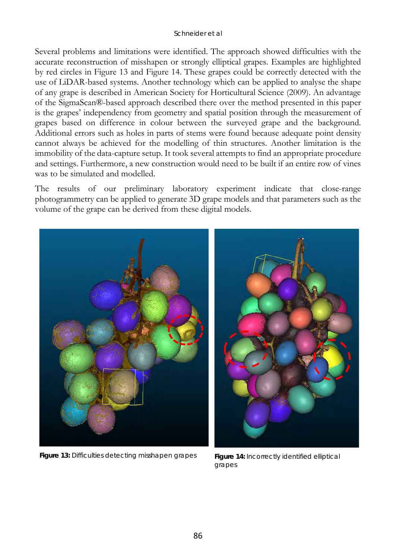Several problems and limitations were identified. The approach showed difficulties with the accurate reconstruction of misshapen or strongly elliptical grapes. Examples are highlighted by red circles in [Figure 13](#page-13-0) and [Figure 14.](#page-13-1) These grapes could be correctly detected with the use of LiDAR-based systems. Another technology which can be applied to analyse the shape of any grape is described in American Society for Horticultural Science (2009). An advantage of the SigmaScan®-based approach described there over the method presented in this paper is the grapes' independency from geometry and spatial position through the measurement of grapes based on difference in colour between the surveyed grape and the background. Additional errors such as holes in parts of stems were found because adequate point density cannot always be achieved for the modelling of thin structures. Another limitation is the immobility of the data-capture setup. It took several attempts to find an appropriate procedure and settings. Furthermore, a new construction would need to be built if an entire row of vines was to be simulated and modelled.

The results of our preliminary laboratory experiment indicate that close-range photogrammetry can be applied to generate 3D grape models and that parameters such as the volume of the grape can be derived from these digital models.



Figure 13: Difficulties detecting misshapen grapes Figure 14: Incorrectly identified elliptical

<span id="page-13-1"></span><span id="page-13-0"></span>grapes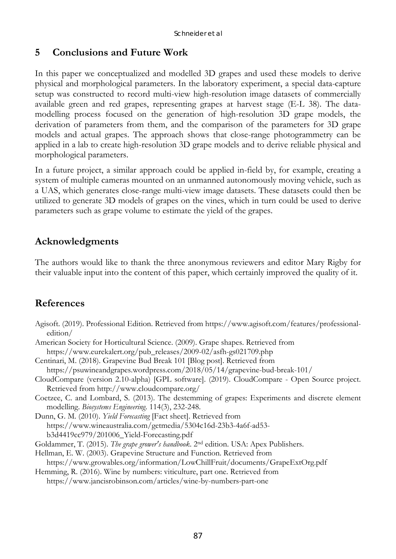# **5 Conclusions and Future Work**

In this paper we conceptualized and modelled 3D grapes and used these models to derive physical and morphological parameters. In the laboratory experiment, a special data-capture setup was constructed to record multi-view high-resolution image datasets of commercially available green and red grapes, representing grapes at harvest stage (E-L 38). The datamodelling process focused on the generation of high-resolution 3D grape models, the derivation of parameters from them, and the comparison of the parameters for 3D grape models and actual grapes. The approach shows that close-range photogrammetry can be applied in a lab to create high-resolution 3D grape models and to derive reliable physical and morphological parameters.

In a future project, a similar approach could be applied in-field by, for example, creating a system of multiple cameras mounted on an unmanned autonomously moving vehicle, such as a UAS, which generates close-range multi-view image datasets. These datasets could then be utilized to generate 3D models of grapes on the vines, which in turn could be used to derive parameters such as grape volume to estimate the yield of the grapes.

# **Acknowledgments**

The authors would like to thank the three anonymous reviewers and editor Mary Rigby for their valuable input into the content of this paper, which certainly improved the quality of it.

# **References**

- Agisoft. (2019). Professional Edition. Retrieved from https://www.agisoft.com/features/professionaledition/
- American Society for Horticultural Science. (2009). Grape shapes. Retrieved from https://www.eurekalert.org/pub\_releases/2009-02/asfh-gs021709.php

Centinari, M. (2018). Grapevine Bud Break 101 [Blog post]. Retrieved from https://psuwineandgrapes.wordpress.com/2018/05/14/grapevine-bud-break-101/

- CloudCompare (version 2.10-alpha) [GPL software]. (2019). CloudCompare Open Source project. Retrieved from http://www.cloudcompare.org/
- Coetzee, C. and Lombard, S. (2013). The destemming of grapes: Experiments and discrete element modelling. *Biosystems Engineering*. 114(3), 232-248.
- Dunn, G. M. (2010). *Yield Forecasting* [Fact sheet]. Retrieved from https://www.wineaustralia.com/getmedia/5304c16d-23b3-4a6f-ad53 b3d4419cc979/201006\_Yield-Forecasting.pdf
- Goldammer, T. (2015). *The grape grower's handbook*. 2nd edition. USA: Apex Publishers.
- Hellman, E. W. (2003). Grapevine Structure and Function. Retrieved from https://www.growables.org/information/LowChillFruit/documents/GrapeExtOrg.pdf Hemming, R. (2016). Wine by numbers: viticulture, part one. Retrieved from

https://www.jancisrobinson.com/articles/wine-by-numbers-part-one